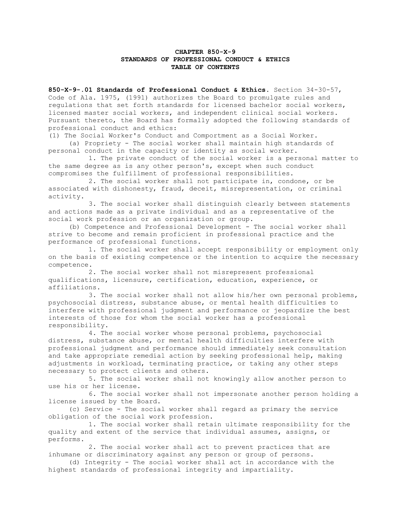## **CHAPTER 850-X-9 STANDARDS OF PROFESSIONAL CONDUCT & ETHICS TABLE OF CONTENTS**

**850-X-9-.01 Standards of Professional Conduct & Ethics**. Section 34-30-57, Code of Ala. 1975, (1991) authorizes the Board to promulgate rules and regulations that set forth standards for licensed bachelor social workers, licensed master social workers, and independent clinical social workers. Pursuant thereto, the Board has formally adopted the following standards of professional conduct and ethics:

(1) The Social Worker's Conduct and Comportment as a Social Worker.

 (a) Propriety - The social worker shall maintain high standards of personal conduct in the capacity or identity as social worker.

 1. The private conduct of the social worker is a personal matter to the same degree as is any other person's, except when such conduct compromises the fulfillment of professional responsibilities.

 2. The social worker shall not participate in, condone, or be associated with dishonesty, fraud, deceit, misrepresentation, or criminal activity.

 3. The social worker shall distinguish clearly between statements and actions made as a private individual and as a representative of the social work profession or an organization or group.

 (b) Competence and Professional Development - The social worker shall strive to become and remain proficient in professional practice and the performance of professional functions.

 1. The social worker shall accept responsibility or employment only on the basis of existing competence or the intention to acquire the necessary competence.

 2. The social worker shall not misrepresent professional qualifications, licensure, certification, education, experience, or affiliations.

 3. The social worker shall not allow his/her own personal problems, psychosocial distress, substance abuse, or mental health difficulties to interfere with professional judgment and performance or jeopardize the best interests of those for whom the social worker has a professional responsibility.

 4. The social worker whose personal problems, psychosocial distress, substance abuse, or mental health difficulties interfere with professional judgment and performance should immediately seek consultation and take appropriate remedial action by seeking professional help, making adjustments in workload, terminating practice, or taking any other steps necessary to protect clients and others.

 5. The social worker shall not knowingly allow another person to use his or her license.

 6. The social worker shall not impersonate another person holding a license issued by the Board.

 (c) Service - The social worker shall regard as primary the service obligation of the social work profession.

 1. The social worker shall retain ultimate responsibility for the quality and extent of the service that individual assumes, assigns, or performs.

 2. The social worker shall act to prevent practices that are inhumane or discriminatory against any person or group of persons.

 (d) Integrity - The social worker shall act in accordance with the highest standards of professional integrity and impartiality.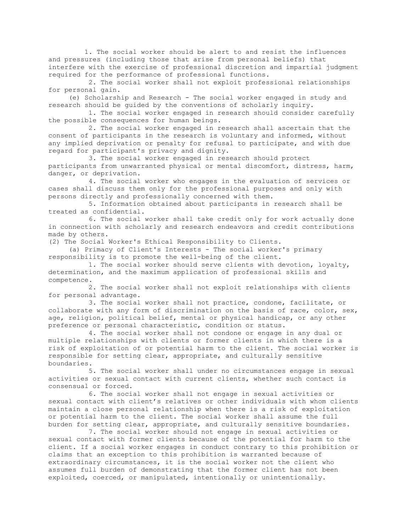1. The social worker should be alert to and resist the influences and pressures (including those that arise from personal beliefs) that interfere with the exercise of professional discretion and impartial judgment required for the performance of professional functions.

 2. The social worker shall not exploit professional relationships for personal gain.

 (e) Scholarship and Research - The social worker engaged in study and research should be guided by the conventions of scholarly inquiry.

 1. The social worker engaged in research should consider carefully the possible consequences for human beings.

 2. The social worker engaged in research shall ascertain that the consent of participants in the research is voluntary and informed, without any implied deprivation or penalty for refusal to participate, and with due regard for participant's privacy and dignity.

 3. The social worker engaged in research should protect participants from unwarranted physical or mental discomfort, distress, harm, danger, or deprivation.

 4. The social worker who engages in the evaluation of services or cases shall discuss them only for the professional purposes and only with persons directly and professionally concerned with them.

 5. Information obtained about participants in research shall be treated as confidential.

 6. The social worker shall take credit only for work actually done in connection with scholarly and research endeavors and credit contributions made by others.

(2) The Social Worker's Ethical Responsibility to Clients.

 (a) Primacy of Client's Interests - The social worker's primary responsibility is to promote the well-being of the client.

 1. The social worker should serve clients with devotion, loyalty, determination, and the maximum application of professional skills and competence.

 2. The social worker shall not exploit relationships with clients for personal advantage.

 3. The social worker shall not practice, condone, facilitate, or collaborate with any form of discrimination on the basis of race, color, sex, age, religion, political belief, mental or physical handicap, or any other preference or personal characteristic, condition or status.

 4. The social worker shall not condone or engage in any dual or multiple relationships with clients or former clients in which there is a risk of exploitation of or potential harm to the client. The social worker is responsible for setting clear, appropriate, and culturally sensitive boundaries.

 5. The social worker shall under no circumstances engage in sexual activities or sexual contact with current clients, whether such contact is consensual or forced.

 6. The social worker shall not engage in sexual activities or sexual contact with client's relatives or other individuals with whom clients maintain a close personal relationship when there is a risk of exploitation or potential harm to the client. The social worker shall assume the full burden for setting clear, appropriate, and culturally sensitive boundaries.

 7. The social worker should not engage in sexual activities or sexual contact with former clients because of the potential for harm to the client. If a social worker engages in conduct contrary to this prohibition or claims that an exception to this prohibition is warranted because of extraordinary circumstances, it is the social worker not the client who assumes full burden of demonstrating that the former client has not been exploited, coerced, or manipulated, intentionally or unintentionally.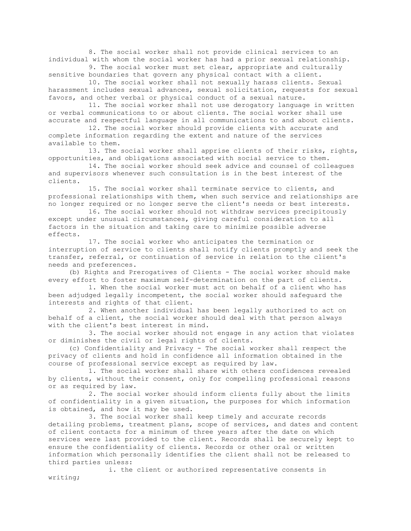8. The social worker shall not provide clinical services to an individual with whom the social worker has had a prior sexual relationship.

 9. The social worker must set clear, appropriate and culturally sensitive boundaries that govern any physical contact with a client.

 10. The social worker shall not sexually harass clients. Sexual harassment includes sexual advances, sexual solicitation, requests for sexual favors, and other verbal or physical conduct of a sexual nature.

 11. The social worker shall not use derogatory language in written or verbal communications to or about clients. The social worker shall use accurate and respectful language in all communications to and about clients.

 12. The social worker should provide clients with accurate and complete information regarding the extent and nature of the services available to them.

 13. The social worker shall apprise clients of their risks, rights, opportunities, and obligations associated with social service to them.

 14. The social worker should seek advice and counsel of colleagues and supervisors whenever such consultation is in the best interest of the clients.

 15. The social worker shall terminate service to clients, and professional relationships with them, when such service and relationships are no longer required or no longer serve the client's needs or best interests.

 16. The social worker should not withdraw services precipitously except under unusual circumstances, giving careful consideration to all factors in the situation and taking care to minimize possible adverse effects.

 17. The social worker who anticipates the termination or interruption of service to clients shall notify clients promptly and seek the transfer, referral, or continuation of service in relation to the client's needs and preferences.

 (b) Rights and Prerogatives of Clients - The social worker should make every effort to foster maximum self-determination on the part of clients.

 1. When the social worker must act on behalf of a client who has been adjudged legally incompetent, the social worker should safeguard the interests and rights of that client.

 2. When another individual has been legally authorized to act on behalf of a client, the social worker should deal with that person always with the client's best interest in mind.

 3. The social worker should not engage in any action that violates or diminishes the civil or legal rights of clients.

 (c) Confidentiality and Privacy - The social worker shall respect the privacy of clients and hold in confidence all information obtained in the course of professional service except as required by law.

 1. The social worker shall share with others confidences revealed by clients, without their consent, only for compelling professional reasons or as required by law.

 2. The social worker should inform clients fully about the limits of confidentiality in a given situation, the purposes for which information is obtained, and how it may be used.

 3. The social worker shall keep timely and accurate records detailing problems, treatment plans, scope of services, and dates and content of client contacts for a minimum of three years after the date on which services were last provided to the client. Records shall be securely kept to ensure the confidentiality of clients. Records or other oral or written information which personally identifies the client shall not be released to third parties unless:

 i. the client or authorized representative consents in writing;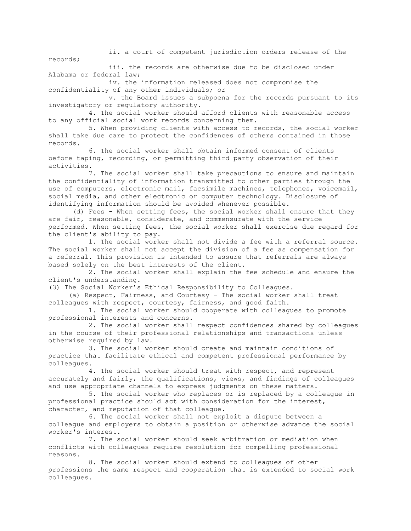ii. a court of competent jurisdiction orders release of the records;

 iii. the records are otherwise due to be disclosed under Alabama or federal law;

 iv. the information released does not compromise the confidentiality of any other individuals; or

 v. the Board issues a subpoena for the records pursuant to its investigatory or regulatory authority.

 4. The social worker should afford clients with reasonable access to any official social work records concerning them.

 5. When providing clients with access to records, the social worker shall take due care to protect the confidences of others contained in those records.

 6. The social worker shall obtain informed consent of clients before taping, recording, or permitting third party observation of their activities.

 7. The social worker shall take precautions to ensure and maintain the confidentiality of information transmitted to other parties through the use of computers, electronic mail, facsimile machines, telephones, voicemail, social media, and other electronic or computer technology. Disclosure of identifying information should be avoided whenever possible.

(d) Fees - When setting fees, the social worker shall ensure that they are fair, reasonable, considerate, and commensurate with the service performed. When setting fees, the social worker shall exercise due regard for the client's ability to pay.

 1. The social worker shall not divide a fee with a referral source. The social worker shall not accept the division of a fee as compensation for a referral. This provision is intended to assure that referrals are always based solely on the best interests of the client.

 2. The social worker shall explain the fee schedule and ensure the client's understanding.

(3) The Social Worker's Ethical Responsibility to Colleagues.

 (a) Respect, Fairness, and Courtesy - The social worker shall treat colleagues with respect, courtesy, fairness, and good faith.

 1. The social worker should cooperate with colleagues to promote professional interests and concerns.

 2. The social worker shall respect confidences shared by colleagues in the course of their professional relationships and transactions unless otherwise required by law.

 3. The social worker should create and maintain conditions of practice that facilitate ethical and competent professional performance by colleagues.

 4. The social worker should treat with respect, and represent accurately and fairly, the qualifications, views, and findings of colleagues and use appropriate channels to express judgments on these matters.

 5. The social worker who replaces or is replaced by a colleague in professional practice should act with consideration for the interest, character, and reputation of that colleague.

 6. The social worker shall not exploit a dispute between a colleague and employers to obtain a position or otherwise advance the social worker's interest.

 7. The social worker should seek arbitration or mediation when conflicts with colleagues require resolution for compelling professional reasons.

 8. The social worker should extend to colleagues of other professions the same respect and cooperation that is extended to social work colleagues.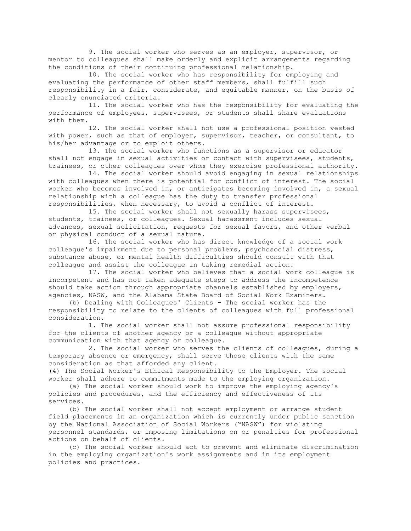9. The social worker who serves as an employer, supervisor, or mentor to colleagues shall make orderly and explicit arrangements regarding the conditions of their continuing professional relationship.

 10. The social worker who has responsibility for employing and evaluating the performance of other staff members, shall fulfill such responsibility in a fair, considerate, and equitable manner, on the basis of clearly enunciated criteria.

 11. The social worker who has the responsibility for evaluating the performance of employees, supervisees, or students shall share evaluations with them.

 12. The social worker shall not use a professional position vested with power, such as that of employer, supervisor, teacher, or consultant, to his/her advantage or to exploit others.

 13. The social worker who functions as a supervisor or educator shall not engage in sexual activities or contact with supervisees, students, trainees, or other colleagues over whom they exercise professional authority.

 14. The social worker should avoid engaging in sexual relationships with colleagues when there is potential for conflict of interest. The social worker who becomes involved in, or anticipates becoming involved in, a sexual relationship with a colleague has the duty to transfer professional responsibilities, when necessary, to avoid a conflict of interest.

 15. The social worker shall not sexually harass supervisees, students, trainees, or colleagues. Sexual harassment includes sexual advances, sexual solicitation, requests for sexual favors, and other verbal or physical conduct of a sexual nature.

 16. The social worker who has direct knowledge of a social work colleague's impairment due to personal problems, psychosocial distress, substance abuse, or mental health difficulties should consult with that colleague and assist the colleague in taking remedial action.

 17. The social worker who believes that a social work colleague is incompetent and has not taken adequate steps to address the incompetence should take action through appropriate channels established by employers, agencies, NASW, and the Alabama State Board of Social Work Examiners.

 (b) Dealing with Colleagues' Clients - The social worker has the responsibility to relate to the clients of colleagues with full professional consideration.

 1. The social worker shall not assume professional responsibility for the clients of another agency or a colleague without appropriate communication with that agency or colleague.

 2. The social worker who serves the clients of colleagues, during a temporary absence or emergency, shall serve those clients with the same consideration as that afforded any client.

(4) The Social Worker's Ethical Responsibility to the Employer. The social worker shall adhere to commitments made to the employing organization.

 (a) The social worker should work to improve the employing agency's policies and procedures, and the efficiency and effectiveness of its services.

 (b) The social worker shall not accept employment or arrange student field placements in an organization which is currently under public sanction by the National Association of Social Workers ("NASW") for violating personnel standards, or imposing limitations on or penalties for professional actions on behalf of clients.

 (c) The social worker should act to prevent and eliminate discrimination in the employing organization's work assignments and in its employment policies and practices.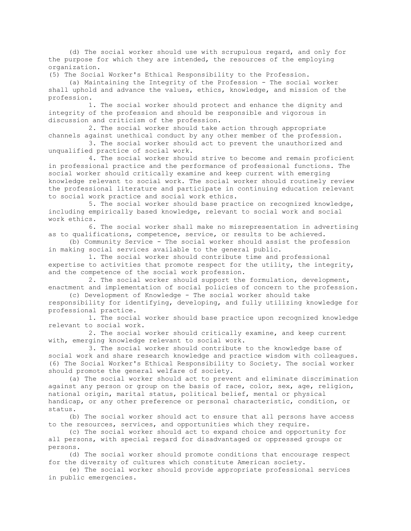(d) The social worker should use with scrupulous regard, and only for the purpose for which they are intended, the resources of the employing organization.

(5) The Social Worker's Ethical Responsibility to the Profession.

 (a) Maintaining the Integrity of the Profession - The social worker shall uphold and advance the values, ethics, knowledge, and mission of the profession.

 1. The social worker should protect and enhance the dignity and integrity of the profession and should be responsible and vigorous in discussion and criticism of the profession.

 2. The social worker should take action through appropriate channels against unethical conduct by any other member of the profession.

 3. The social worker should act to prevent the unauthorized and unqualified practice of social work.

 4. The social worker should strive to become and remain proficient in professional practice and the performance of professional functions. The social worker should critically examine and keep current with emerging knowledge relevant to social work. The social worker should routinely review the professional literature and participate in continuing education relevant to social work practice and social work ethics.

 5. The social worker should base practice on recognized knowledge, including empirically based knowledge, relevant to social work and social work ethics.

 6. The social worker shall make no misrepresentation in advertising as to qualifications, competence, service, or results to be achieved.

 (b) Community Service - The social worker should assist the profession in making social services available to the general public.

 1. The social worker should contribute time and professional expertise to activities that promote respect for the utility, the integrity, and the competence of the social work profession.

 2. The social worker should support the formulation, development, enactment and implementation of social policies of concern to the profession.

 (c) Development of Knowledge - The social worker should take responsibility for identifying, developing, and fully utilizing knowledge for professional practice.

 1. The social worker should base practice upon recognized knowledge relevant to social work.

 2. The social worker should critically examine, and keep current with, emerging knowledge relevant to social work.

 3. The social worker should contribute to the knowledge base of social work and share research knowledge and practice wisdom with colleagues. (6) The Social Worker's Ethical Responsibility to Society. The social worker should promote the general welfare of society.

 (a) The social worker should act to prevent and eliminate discrimination against any person or group on the basis of race, color, sex, age, religion, national origin, marital status, political belief, mental or physical handicap, or any other preference or personal characteristic, condition, or status.

 (b) The social worker should act to ensure that all persons have access to the resources, services, and opportunities which they require.

 (c) The social worker should act to expand choice and opportunity for all persons, with special regard for disadvantaged or oppressed groups or persons.

 (d) The social worker should promote conditions that encourage respect for the diversity of cultures which constitute American society.

 (e) The social worker should provide appropriate professional services in public emergencies.